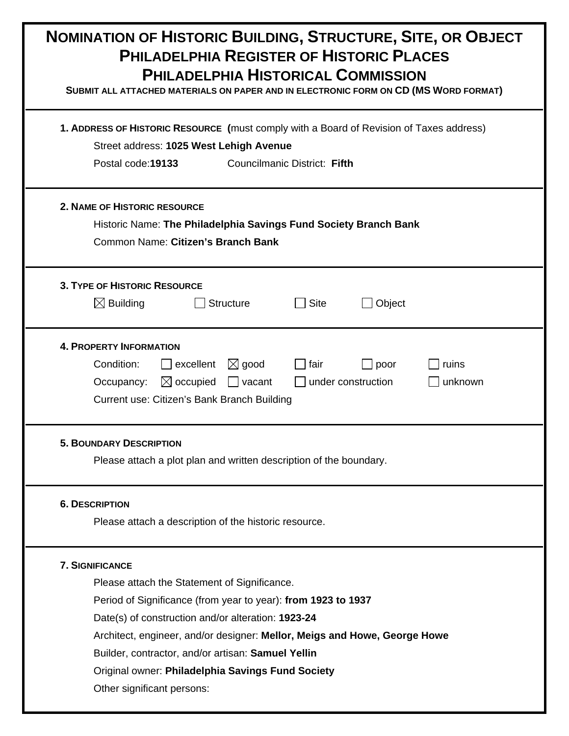| <b>NOMINATION OF HISTORIC BUILDING, STRUCTURE, SITE, OR OBJECT</b><br><b>PHILADELPHIA REGISTER OF HISTORIC PLACES</b><br>PHILADELPHIA HISTORICAL COMMISSION<br>SUBMIT ALL ATTACHED MATERIALS ON PAPER AND IN ELECTRONIC FORM ON CD (MS WORD FORMAT)<br>1. ADDRESS OF HISTORIC RESOURCE (must comply with a Board of Revision of Taxes address)<br>Street address: 1025 West Lehigh Avenue<br>Councilmanic District: Fifth<br>Postal code: 19133<br><b>2. NAME OF HISTORIC RESOURCE</b><br>Historic Name: The Philadelphia Savings Fund Society Branch Bank<br>Common Name: Citizen's Branch Bank |  |  |                                                                                                                                                                                                                                                |
|--------------------------------------------------------------------------------------------------------------------------------------------------------------------------------------------------------------------------------------------------------------------------------------------------------------------------------------------------------------------------------------------------------------------------------------------------------------------------------------------------------------------------------------------------------------------------------------------------|--|--|------------------------------------------------------------------------------------------------------------------------------------------------------------------------------------------------------------------------------------------------|
|                                                                                                                                                                                                                                                                                                                                                                                                                                                                                                                                                                                                  |  |  | <b>3. TYPE OF HISTORIC RESOURCE</b><br>$\boxtimes$ Building<br><b>Structure</b><br><b>Site</b><br>Object                                                                                                                                       |
|                                                                                                                                                                                                                                                                                                                                                                                                                                                                                                                                                                                                  |  |  | <b>4. PROPERTY INFORMATION</b><br>Condition:<br>excellent<br>$\boxtimes$ good<br>ruins<br>fair<br>poor<br>$\boxtimes$ occupied<br>under construction<br>Occupancy:<br>$\vert$ vacant<br>unknown<br>Current use: Citizen's Bank Branch Building |
| <b>5. BOUNDARY DESCRIPTION</b><br>Please attach a plot plan and written description of the boundary.                                                                                                                                                                                                                                                                                                                                                                                                                                                                                             |  |  |                                                                                                                                                                                                                                                |
| <b>6. DESCRIPTION</b><br>Please attach a description of the historic resource.                                                                                                                                                                                                                                                                                                                                                                                                                                                                                                                   |  |  |                                                                                                                                                                                                                                                |
| <b>7. SIGNIFICANCE</b><br>Please attach the Statement of Significance.<br>Period of Significance (from year to year): from 1923 to 1937<br>Date(s) of construction and/or alteration: 1923-24<br>Architect, engineer, and/or designer: Mellor, Meigs and Howe, George Howe<br>Builder, contractor, and/or artisan: Samuel Yellin<br>Original owner: Philadelphia Savings Fund Society<br>Other significant persons:                                                                                                                                                                              |  |  |                                                                                                                                                                                                                                                |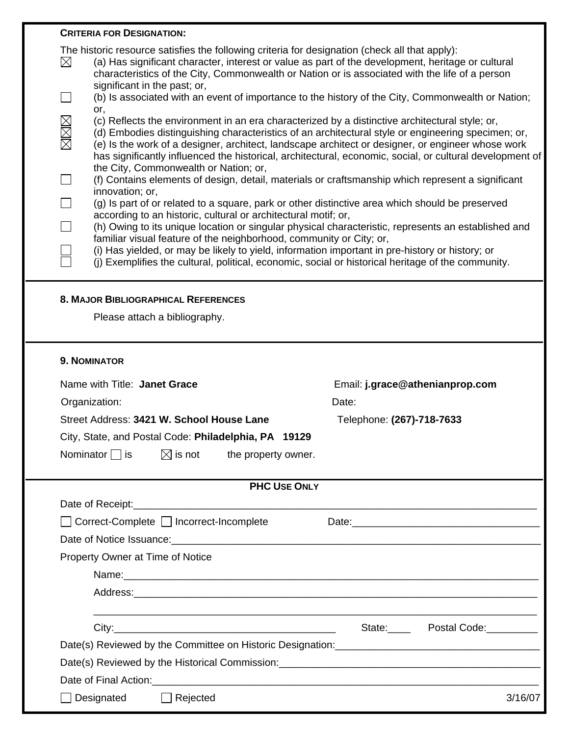| <b>CRITERIA FOR DESIGNATION:</b>                                                                                                                                                                                                                                                                                                                                                                                             |                                     |  |  |
|------------------------------------------------------------------------------------------------------------------------------------------------------------------------------------------------------------------------------------------------------------------------------------------------------------------------------------------------------------------------------------------------------------------------------|-------------------------------------|--|--|
| The historic resource satisfies the following criteria for designation (check all that apply):<br>$\boxtimes$<br>(a) Has significant character, interest or value as part of the development, heritage or cultural<br>characteristics of the City, Commonwealth or Nation or is associated with the life of a person<br>significant in the past; or,                                                                         |                                     |  |  |
| (b) Is associated with an event of importance to the history of the City, Commonwealth or Nation;<br>$\Box$<br>or,                                                                                                                                                                                                                                                                                                           |                                     |  |  |
| MMM<br>(c) Reflects the environment in an era characterized by a distinctive architectural style; or,<br>(d) Embodies distinguishing characteristics of an architectural style or engineering specimen; or,<br>(e) Is the work of a designer, architect, landscape architect or designer, or engineer whose work<br>has significantly influenced the historical, architectural, economic, social, or cultural development of |                                     |  |  |
| the City, Commonwealth or Nation; or,<br>$\Box$<br>(f) Contains elements of design, detail, materials or craftsmanship which represent a significant<br>innovation; or,                                                                                                                                                                                                                                                      |                                     |  |  |
| $\Box$<br>(g) Is part of or related to a square, park or other distinctive area which should be preserved                                                                                                                                                                                                                                                                                                                    |                                     |  |  |
| according to an historic, cultural or architectural motif; or,<br>П<br>(h) Owing to its unique location or singular physical characteristic, represents an established and                                                                                                                                                                                                                                                   |                                     |  |  |
| familiar visual feature of the neighborhood, community or City; or,                                                                                                                                                                                                                                                                                                                                                          |                                     |  |  |
| (i) Has yielded, or may be likely to yield, information important in pre-history or history; or<br>(i) Exemplifies the cultural, political, economic, social or historical heritage of the community.                                                                                                                                                                                                                        |                                     |  |  |
|                                                                                                                                                                                                                                                                                                                                                                                                                              |                                     |  |  |
| <b>8. MAJOR BIBLIOGRAPHICAL REFERENCES</b>                                                                                                                                                                                                                                                                                                                                                                                   |                                     |  |  |
| Please attach a bibliography.                                                                                                                                                                                                                                                                                                                                                                                                |                                     |  |  |
|                                                                                                                                                                                                                                                                                                                                                                                                                              |                                     |  |  |
| <b>9. NOMINATOR</b>                                                                                                                                                                                                                                                                                                                                                                                                          |                                     |  |  |
| Name with Title: Janet Grace                                                                                                                                                                                                                                                                                                                                                                                                 | Email: j.grace@athenianprop.com     |  |  |
| Organization:                                                                                                                                                                                                                                                                                                                                                                                                                | Date:                               |  |  |
| Street Address: 3421 W. School House Lane                                                                                                                                                                                                                                                                                                                                                                                    | Telephone: (267)-718-7633           |  |  |
| City, State, and Postal Code: Philadelphia, PA 19129                                                                                                                                                                                                                                                                                                                                                                         |                                     |  |  |
| $\boxtimes$ is not the property owner.<br>Nominator $\Box$ is                                                                                                                                                                                                                                                                                                                                                                |                                     |  |  |
| <b>PHC USE ONLY</b>                                                                                                                                                                                                                                                                                                                                                                                                          |                                     |  |  |
|                                                                                                                                                                                                                                                                                                                                                                                                                              |                                     |  |  |
| Correct-Complete □ Incorrect-Incomplete                                                                                                                                                                                                                                                                                                                                                                                      |                                     |  |  |
|                                                                                                                                                                                                                                                                                                                                                                                                                              |                                     |  |  |
| Property Owner at Time of Notice                                                                                                                                                                                                                                                                                                                                                                                             |                                     |  |  |
| Name: Name: Name: Name: Name: Name: Name: Name: Name: Name: Name: Name: Name: Name: Name: Name: Name: Name: Name: Name: Name: Name: Name: Name: Name: Name: Name: Name: Name: Name: Name: Name: Name: Name: Name: Name: Name:                                                                                                                                                                                                |                                     |  |  |
|                                                                                                                                                                                                                                                                                                                                                                                                                              |                                     |  |  |
|                                                                                                                                                                                                                                                                                                                                                                                                                              |                                     |  |  |
|                                                                                                                                                                                                                                                                                                                                                                                                                              | State: Postal Code: Content Library |  |  |
|                                                                                                                                                                                                                                                                                                                                                                                                                              |                                     |  |  |
|                                                                                                                                                                                                                                                                                                                                                                                                                              |                                     |  |  |
|                                                                                                                                                                                                                                                                                                                                                                                                                              |                                     |  |  |
|                                                                                                                                                                                                                                                                                                                                                                                                                              |                                     |  |  |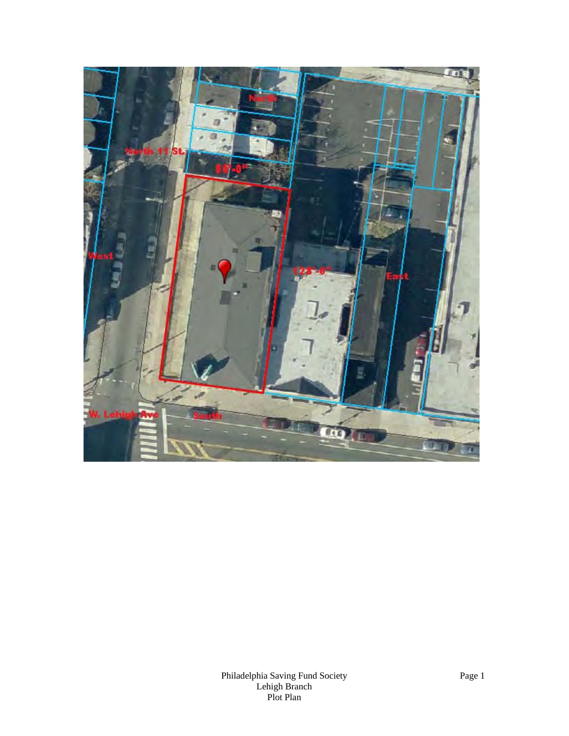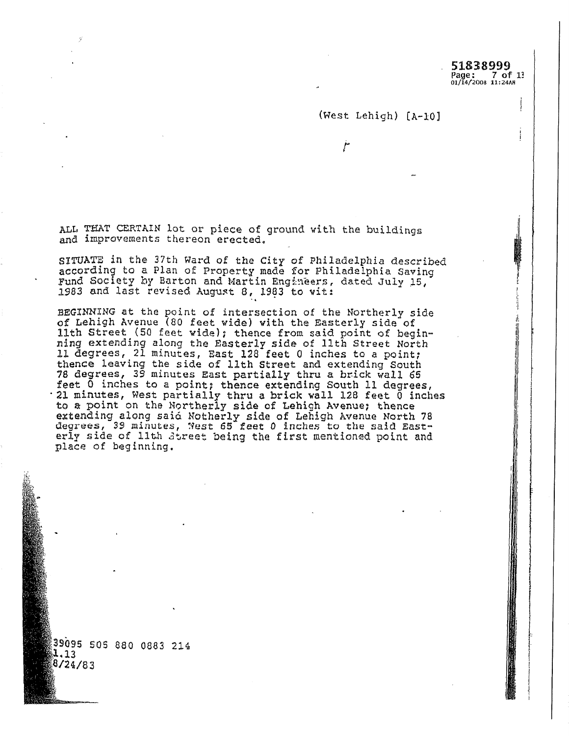#### (West Lehigh) [A-10]

مغ

ALL THAT CERTAIN lot or piece of ground with the buildings and improvements thereon erected.

SITUATE in the 37th Ward of the City of Philadelphia described according to a Plan of Property made for Philadelphia Saving Fund Society by Barton and Martin Engineers, dated July 15, 1983 and last revised August 8, 1983 to wit:

BEGINNING at the point of intersection of the Northerly side of Lehigh Avenue (80 feet wide) with the Easterly side of lith Street (50 feet wide); thence from said point of beginning extending along the Easterly side of 11th Street North<br>11 degrees, 21 minutes, East 128 feet 0 inches to a point; thence leaving the side of llth Street and extending South 78 degrees, 39 minutes East partially thru a brick wall 65 feet 0 inches to a point; thence extending South 11 degrees, 21 minutes, West partially thru a brick wall 128 feet 0 inches to a point on the Northerly side of Lehigh Avenue; thence extending along said Notherly side of Lehigh Avenue North 78<br>degrees, 39 minutes, Nest 65 feet 0 inches to the said Easterly side of lith Street being the first mentioned point and place of beginning.

39095 505 880 0883 214 1.13 8/24/83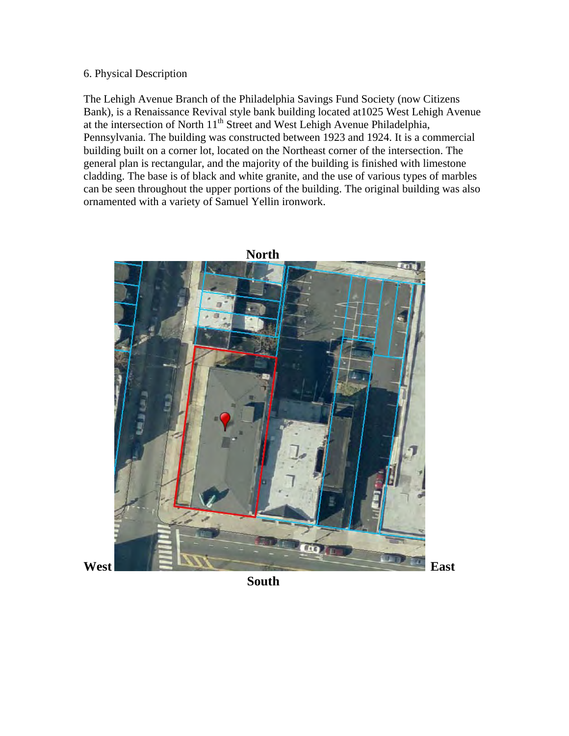# 6. Physical Description

The Lehigh Avenue Branch of the Philadelphia Savings Fund Society (now Citizens Bank), is a Renaissance Revival style bank building located at1025 West Lehigh Avenue at the intersection of North 11<sup>th</sup> Street and West Lehigh Avenue Philadelphia, Pennsylvania. The building was constructed between 1923 and 1924. It is a commercial building built on a corner lot, located on the Northeast corner of the intersection. The general plan is rectangular, and the majority of the building is finished with limestone cladding. The base is of black and white granite, and the use of various types of marbles can be seen throughout the upper portions of the building. The original building was also ornamented with a variety of Samuel Yellin ironwork.

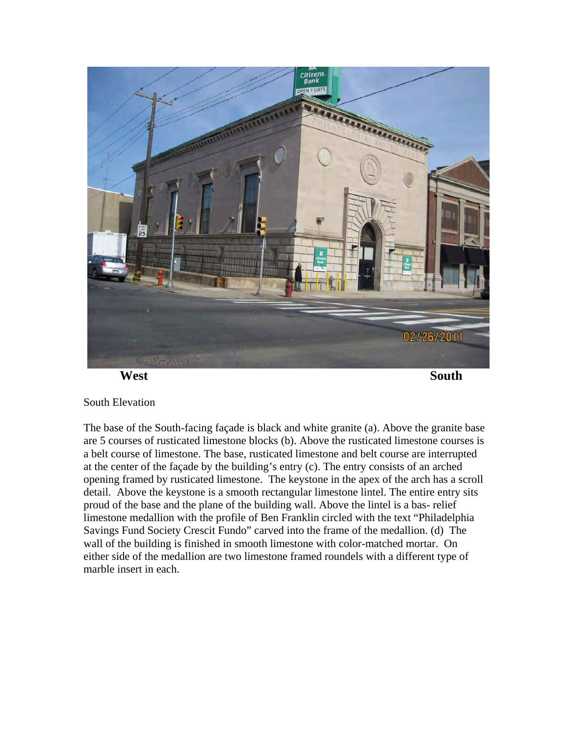

**West** South **South** 

# South Elevation

The base of the South-facing façade is black and white granite (a). Above the granite base are 5 courses of rusticated limestone blocks (b). Above the rusticated limestone courses is a belt course of limestone. The base, rusticated limestone and belt course are interrupted at the center of the façade by the building's entry (c). The entry consists of an arched opening framed by rusticated limestone. The keystone in the apex of the arch has a scroll detail. Above the keystone is a smooth rectangular limestone lintel. The entire entry sits proud of the base and the plane of the building wall. Above the lintel is a bas- relief limestone medallion with the profile of Ben Franklin circled with the text "Philadelphia Savings Fund Society Crescit Fundo" carved into the frame of the medallion. (d) The wall of the building is finished in smooth limestone with color-matched mortar. On either side of the medallion are two limestone framed roundels with a different type of marble insert in each.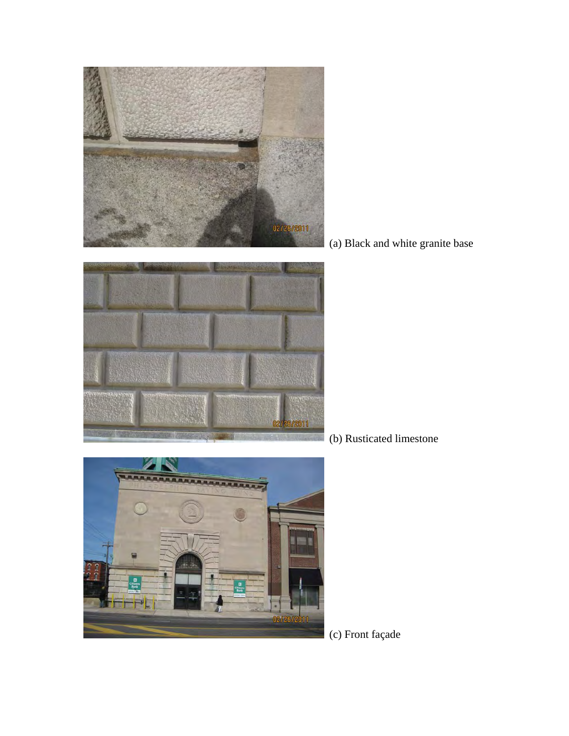

(a) Black and white granite base



(b) Rusticated limestone



(c) Front façade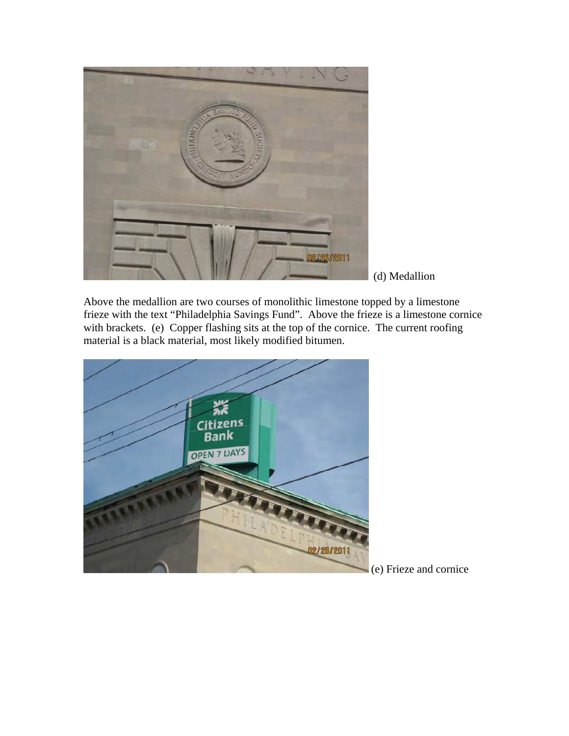

(d) Medallion

Above the medallion are two courses of monolithic limestone topped by a limestone frieze with the text "Philadelphia Savings Fund". Above the frieze is a limestone cornice with brackets. (e) Copper flashing sits at the top of the cornice. The current roofing material is a black material, most likely modified bitumen.



(e) Frieze and cornice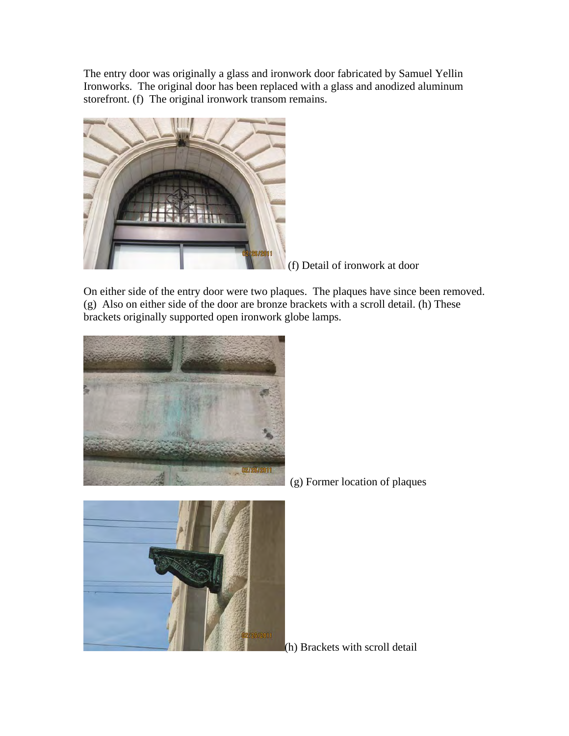The entry door was originally a glass and ironwork door fabricated by Samuel Yellin Ironworks. The original door has been replaced with a glass and anodized aluminum storefront. (f) The original ironwork transom remains.



(f) Detail of ironwork at door

On either side of the entry door were two plaques. The plaques have since been removed. (g) Also on either side of the door are bronze brackets with a scroll detail. (h) These brackets originally supported open ironwork globe lamps.





(g) Former location of plaques

(h) Brackets with scroll detail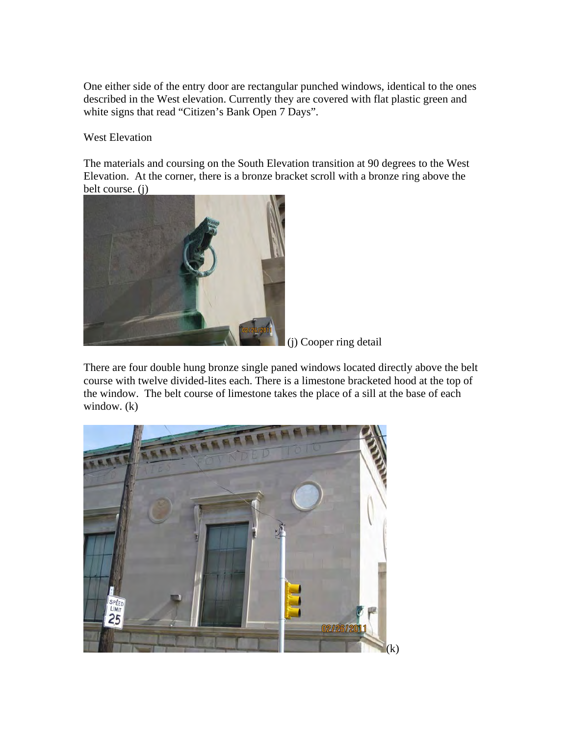One either side of the entry door are rectangular punched windows, identical to the ones described in the West elevation. Currently they are covered with flat plastic green and white signs that read "Citizen's Bank Open 7 Days".

West Elevation

The materials and coursing on the South Elevation transition at 90 degrees to the West Elevation. At the corner, there is a bronze bracket scroll with a bronze ring above the belt course. (j)



(j) Cooper ring detail

There are four double hung bronze single paned windows located directly above the belt course with twelve divided-lites each. There is a limestone bracketed hood at the top of the window. The belt course of limestone takes the place of a sill at the base of each window. (k)

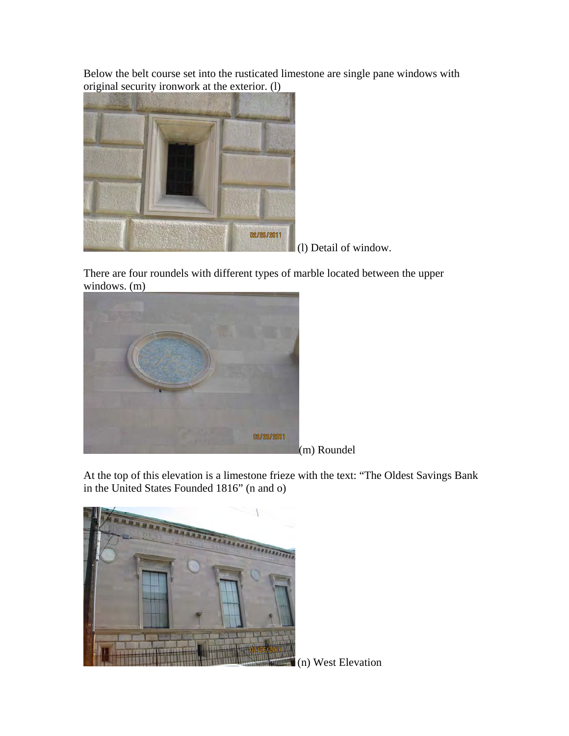Below the belt course set into the rusticated limestone are single pane windows with original security ironwork at the exterior. (l)



(l) Detail of window.

There are four roundels with different types of marble located between the upper windows. (m)



(m) Roundel

At the top of this elevation is a limestone frieze with the text: "The Oldest Savings Bank in the United States Founded 1816" (n and o)



(n) West Elevation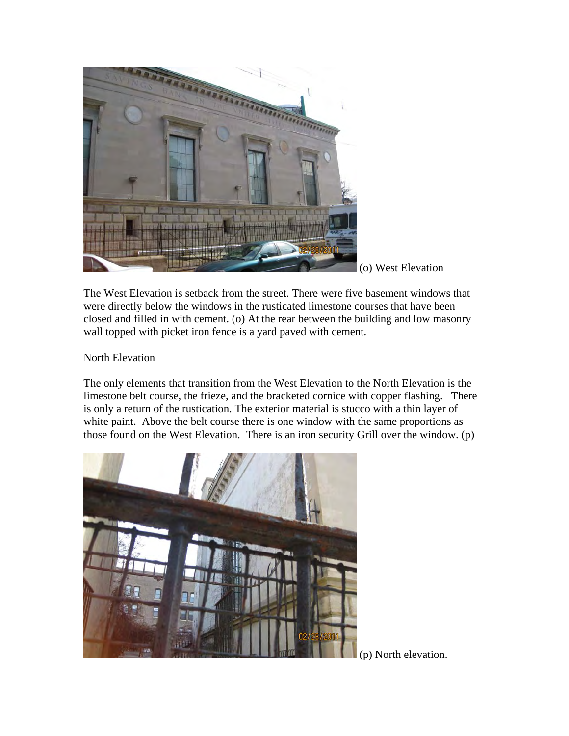

(o) West Elevation

The West Elevation is setback from the street. There were five basement windows that were directly below the windows in the rusticated limestone courses that have been closed and filled in with cement. (o) At the rear between the building and low masonry wall topped with picket iron fence is a yard paved with cement.

North Elevation

The only elements that transition from the West Elevation to the North Elevation is the limestone belt course, the frieze, and the bracketed cornice with copper flashing. There is only a return of the rustication. The exterior material is stucco with a thin layer of white paint. Above the belt course there is one window with the same proportions as those found on the West Elevation. There is an iron security Grill over the window. (p)



(p) North elevation.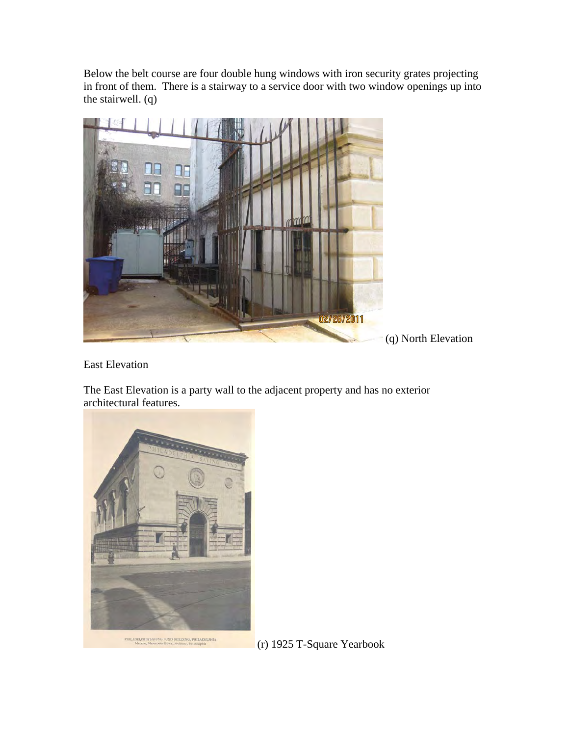Below the belt course are four double hung windows with iron security grates projecting in front of them. There is a stairway to a service door with two window openings up into the stairwell. (q)



East Elevation

The East Elevation is a party wall to the adjacent property and has no exterior architectural features.



(r) 1925 T-Square Yearbook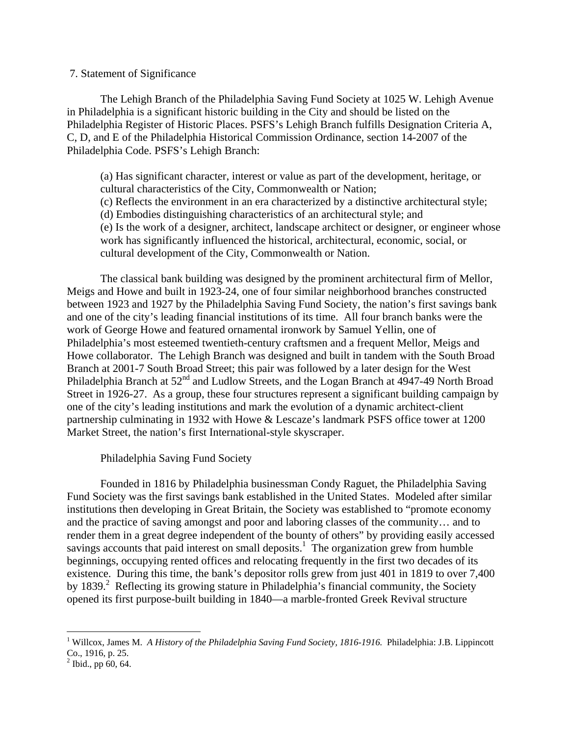### 7. Statement of Significance

 The Lehigh Branch of the Philadelphia Saving Fund Society at 1025 W. Lehigh Avenue in Philadelphia is a significant historic building in the City and should be listed on the Philadelphia Register of Historic Places. PSFS's Lehigh Branch fulfills Designation Criteria A, C, D, and E of the Philadelphia Historical Commission Ordinance, section 14-2007 of the Philadelphia Code. PSFS's Lehigh Branch:

(a) Has significant character, interest or value as part of the development, heritage, or cultural characteristics of the City, Commonwealth or Nation; (c) Reflects the environment in an era characterized by a distinctive architectural style; (d) Embodies distinguishing characteristics of an architectural style; and (e) Is the work of a designer, architect, landscape architect or designer, or engineer whose work has significantly influenced the historical, architectural, economic, social, or cultural development of the City, Commonwealth or Nation.

The classical bank building was designed by the prominent architectural firm of Mellor, Meigs and Howe and built in 1923-24, one of four similar neighborhood branches constructed between 1923 and 1927 by the Philadelphia Saving Fund Society, the nation's first savings bank and one of the city's leading financial institutions of its time. All four branch banks were the work of George Howe and featured ornamental ironwork by Samuel Yellin, one of Philadelphia's most esteemed twentieth-century craftsmen and a frequent Mellor, Meigs and Howe collaborator. The Lehigh Branch was designed and built in tandem with the South Broad Branch at 2001-7 South Broad Street; this pair was followed by a later design for the West Philadelphia Branch at  $52<sup>nd</sup>$  and Ludlow Streets, and the Logan Branch at 4947-49 North Broad Street in 1926-27. As a group, these four structures represent a significant building campaign by one of the city's leading institutions and mark the evolution of a dynamic architect-client partnership culminating in 1932 with Howe & Lescaze's landmark PSFS office tower at 1200 Market Street, the nation's first International-style skyscraper.

# Philadelphia Saving Fund Society

Founded in 1816 by Philadelphia businessman Condy Raguet, the Philadelphia Saving Fund Society was the first savings bank established in the United States. Modeled after similar institutions then developing in Great Britain, the Society was established to "promote economy and the practice of saving amongst and poor and laboring classes of the community… and to render them in a great degree independent of the bounty of others" by providing easily accessed savings accounts that paid interest on small deposits.<sup>1</sup> The organization grew from humble beginnings, occupying rented offices and relocating frequently in the first two decades of its existence. During this time, the bank's depositor rolls grew from just 401 in 1819 to over 7,400 by 1839.<sup>2</sup> Reflecting its growing stature in Philadelphia's financial community, the Society opened its first purpose-built building in 1840—a marble-fronted Greek Revival structure

 $\overline{a}$ 

<sup>&</sup>lt;sup>1</sup> Willcox, James M. *A History of the Philadelphia Saving Fund Society, 1816-1916*. Philadelphia: J.B. Lippincott Co., 1916, p. 25.

 $^{2}$  Ibid., pp 60, 64.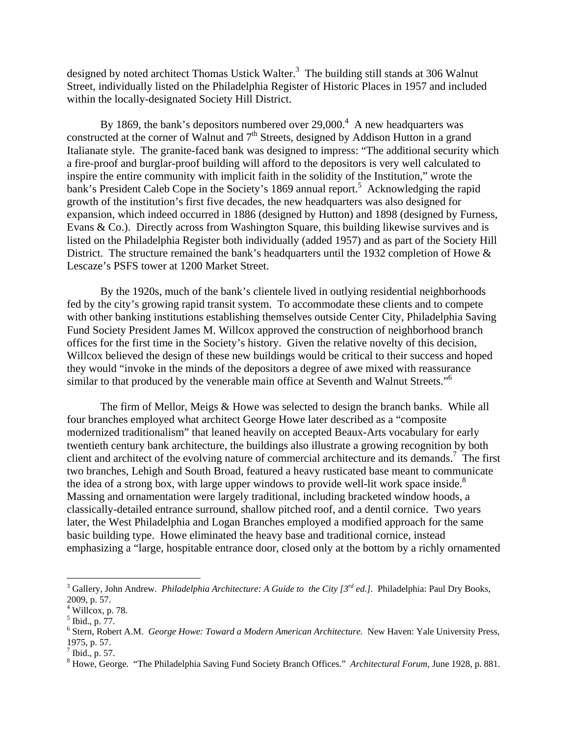designed by noted architect Thomas Ustick Walter.<sup>3</sup> The building still stands at 306 Walnut Street, individually listed on the Philadelphia Register of Historic Places in 1957 and included within the locally-designated Society Hill District.

By 1869, the bank's depositors numbered over  $29,000$ .<sup>4</sup> A new headquarters was constructed at the corner of Walnut and  $7<sup>th</sup>$  Streets, designed by Addison Hutton in a grand Italianate style. The granite-faced bank was designed to impress: "The additional security which a fire-proof and burglar-proof building will afford to the depositors is very well calculated to inspire the entire community with implicit faith in the solidity of the Institution," wrote the bank's President Caleb Cope in the Society's 1869 annual report.<sup>5</sup> Acknowledging the rapid growth of the institution's first five decades, the new headquarters was also designed for expansion, which indeed occurred in 1886 (designed by Hutton) and 1898 (designed by Furness, Evans & Co.). Directly across from Washington Square, this building likewise survives and is listed on the Philadelphia Register both individually (added 1957) and as part of the Society Hill District. The structure remained the bank's headquarters until the 1932 completion of Howe & Lescaze's PSFS tower at 1200 Market Street.

By the 1920s, much of the bank's clientele lived in outlying residential neighborhoods fed by the city's growing rapid transit system. To accommodate these clients and to compete with other banking institutions establishing themselves outside Center City, Philadelphia Saving Fund Society President James M. Willcox approved the construction of neighborhood branch offices for the first time in the Society's history. Given the relative novelty of this decision, Willcox believed the design of these new buildings would be critical to their success and hoped they would "invoke in the minds of the depositors a degree of awe mixed with reassurance similar to that produced by the venerable main office at Seventh and Walnut Streets."<sup>6</sup>

The firm of Mellor, Meigs & Howe was selected to design the branch banks. While all four branches employed what architect George Howe later described as a "composite modernized traditionalism" that leaned heavily on accepted Beaux-Arts vocabulary for early twentieth century bank architecture, the buildings also illustrate a growing recognition by both client and architect of the evolving nature of commercial architecture and its demands.7 The first two branches, Lehigh and South Broad, featured a heavy rusticated base meant to communicate the idea of a strong box, with large upper windows to provide well-lit work space inside. $8$ Massing and ornamentation were largely traditional, including bracketed window hoods, a classically-detailed entrance surround, shallow pitched roof, and a dentil cornice. Two years later, the West Philadelphia and Logan Branches employed a modified approach for the same basic building type. Howe eliminated the heavy base and traditional cornice, instead emphasizing a "large, hospitable entrance door, closed only at the bottom by a richly ornamented

1

<sup>&</sup>lt;sup>3</sup> Gallery, John Andrew. *Philadelphia Architecture: A Guide to the City [3<sup>rd</sup> ed.].* Philadelphia: Paul Dry Books, 2009, p. 57.

 $4$  Willcox, p. 78.

 $<sup>5</sup>$  Ibid., p. 77.</sup>

<sup>6</sup> Stern, Robert A.M. *George Howe: Toward a Modern American Architecture.* New Haven: Yale University Press, 1975, p. 57.

 $<sup>7</sup>$  Ibid., p. 57.</sup>

<sup>8</sup> Howe, George. "The Philadelphia Saving Fund Society Branch Offices." *Architectural Forum,* June 1928, p. 881.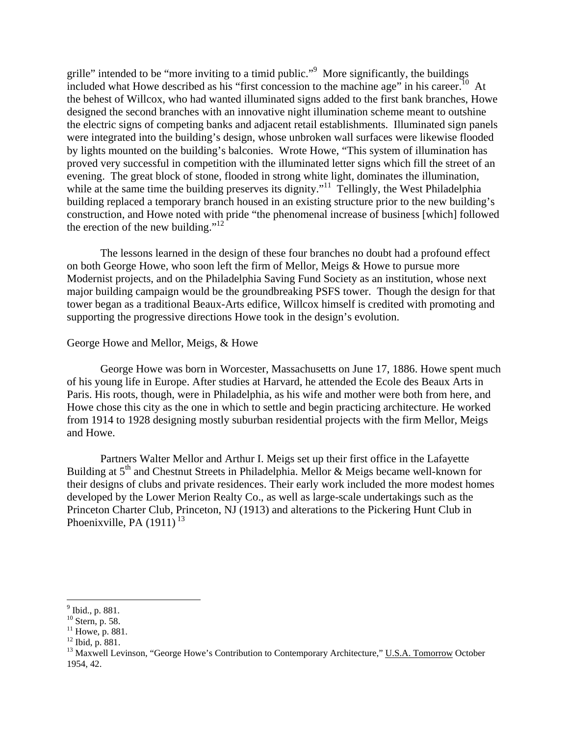grille" intended to be "more inviting to a timid public."<sup>9</sup> More significantly, the buildings included what Howe described as his "first concession to the machine age" in his career.<sup>10</sup> At the behest of Willcox, who had wanted illuminated signs added to the first bank branches, Howe designed the second branches with an innovative night illumination scheme meant to outshine the electric signs of competing banks and adjacent retail establishments. Illuminated sign panels were integrated into the building's design, whose unbroken wall surfaces were likewise flooded by lights mounted on the building's balconies. Wrote Howe, "This system of illumination has proved very successful in competition with the illuminated letter signs which fill the street of an evening. The great block of stone, flooded in strong white light, dominates the illumination, while at the same time the building preserves its dignity."<sup>11</sup> Tellingly, the West Philadelphia building replaced a temporary branch housed in an existing structure prior to the new building's construction, and Howe noted with pride "the phenomenal increase of business [which] followed the erection of the new building." $12$ 

The lessons learned in the design of these four branches no doubt had a profound effect on both George Howe, who soon left the firm of Mellor, Meigs & Howe to pursue more Modernist projects, and on the Philadelphia Saving Fund Society as an institution, whose next major building campaign would be the groundbreaking PSFS tower. Though the design for that tower began as a traditional Beaux-Arts edifice, Willcox himself is credited with promoting and supporting the progressive directions Howe took in the design's evolution.

### George Howe and Mellor, Meigs, & Howe

 George Howe was born in Worcester, Massachusetts on June 17, 1886. Howe spent much of his young life in Europe. After studies at Harvard, he attended the Ecole des Beaux Arts in Paris. His roots, though, were in Philadelphia, as his wife and mother were both from here, and Howe chose this city as the one in which to settle and begin practicing architecture. He worked from 1914 to 1928 designing mostly suburban residential projects with the firm Mellor, Meigs and Howe.

Partners Walter Mellor and Arthur I. Meigs set up their first office in the Lafayette Building at  $5<sup>th</sup>$  and Chestnut Streets in Philadelphia. Mellor & Meigs became well-known for their designs of clubs and private residences. Their early work included the more modest homes developed by the Lower Merion Realty Co., as well as large-scale undertakings such as the Princeton Charter Club, Princeton, NJ (1913) and alterations to the Pickering Hunt Club in Phoenixville, PA  $(1911)^{13}$ 

 $\overline{a}$ 

<sup>&</sup>lt;sup>9</sup> Ibid., p. 881.

 $10$  Stern, p. 58.

 $11$  Howe, p. 881.

 $12$  Ibid, p. 881.

<sup>&</sup>lt;sup>13</sup> Maxwell Levinson, "George Howe's Contribution to Contemporary Architecture," U.S.A. Tomorrow October 1954, 42.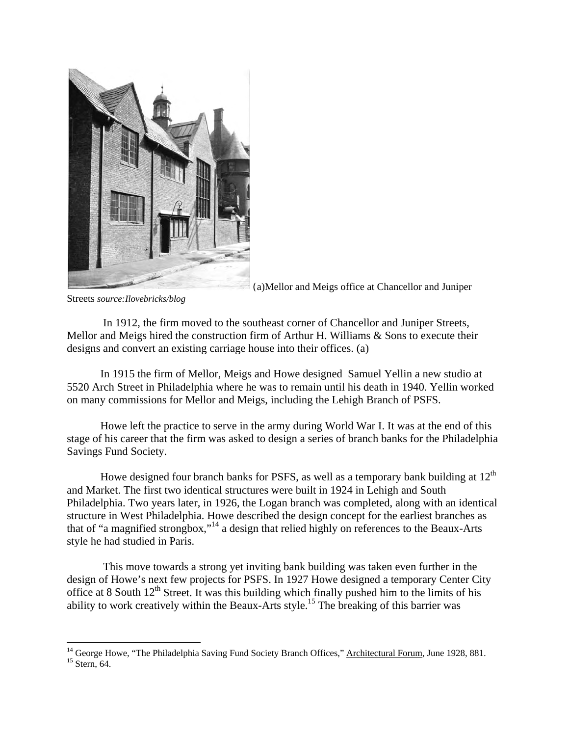

(a)Mellor and Meigs office at Chancellor and Juniper

Streets *source:Ilovebricks/blog*

 $\overline{a}$ 

 In 1912, the firm moved to the southeast corner of Chancellor and Juniper Streets, Mellor and Meigs hired the construction firm of Arthur H. Williams & Sons to execute their designs and convert an existing carriage house into their offices. (a)

In 1915 the firm of Mellor, Meigs and Howe designed Samuel Yellin a new studio at 5520 Arch Street in Philadelphia where he was to remain until his death in 1940. Yellin worked on many commissions for Mellor and Meigs, including the Lehigh Branch of PSFS.

Howe left the practice to serve in the army during World War I. It was at the end of this stage of his career that the firm was asked to design a series of branch banks for the Philadelphia Savings Fund Society.

Howe designed four branch banks for PSFS, as well as a temporary bank building at  $12<sup>th</sup>$ and Market. The first two identical structures were built in 1924 in Lehigh and South Philadelphia. Two years later, in 1926, the Logan branch was completed, along with an identical structure in West Philadelphia. Howe described the design concept for the earliest branches as that of "a magnified strongbox,"14 a design that relied highly on references to the Beaux-Arts style he had studied in Paris.

 This move towards a strong yet inviting bank building was taken even further in the design of Howe's next few projects for PSFS. In 1927 Howe designed a temporary Center City office at 8 South  $12<sup>th</sup>$  Street. It was this building which finally pushed him to the limits of his ability to work creatively within the Beaux-Arts style.<sup>15</sup> The breaking of this barrier was

<sup>&</sup>lt;sup>14</sup> George Howe, "The Philadelphia Saving Fund Society Branch Offices," <u>Architectural Forum</u>, June 1928, 881.<br><sup>15</sup> Stern, 64.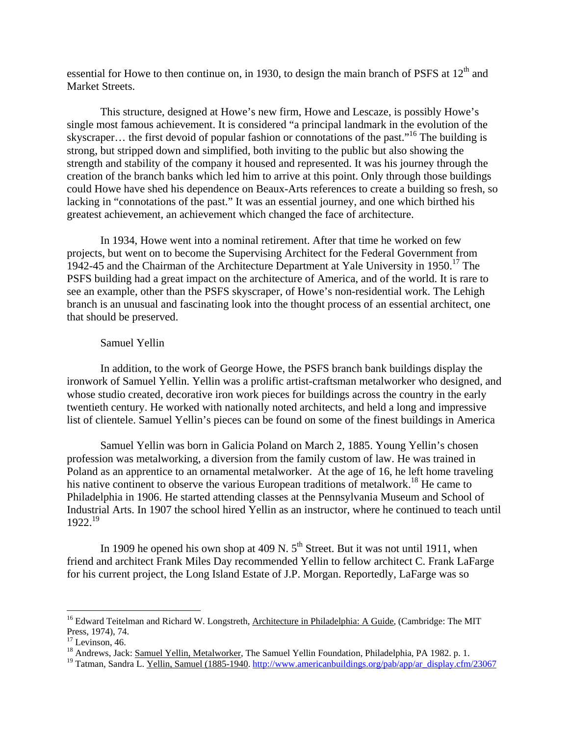essential for Howe to then continue on, in 1930, to design the main branch of PSFS at 12<sup>th</sup> and Market Streets.

This structure, designed at Howe's new firm, Howe and Lescaze, is possibly Howe's single most famous achievement. It is considered "a principal landmark in the evolution of the skyscraper... the first devoid of popular fashion or connotations of the past."<sup>16</sup> The building is strong, but stripped down and simplified, both inviting to the public but also showing the strength and stability of the company it housed and represented. It was his journey through the creation of the branch banks which led him to arrive at this point. Only through those buildings could Howe have shed his dependence on Beaux-Arts references to create a building so fresh, so lacking in "connotations of the past." It was an essential journey, and one which birthed his greatest achievement, an achievement which changed the face of architecture.

 In 1934, Howe went into a nominal retirement. After that time he worked on few projects, but went on to become the Supervising Architect for the Federal Government from 1942-45 and the Chairman of the Architecture Department at Yale University in 1950.<sup>17</sup> The PSFS building had a great impact on the architecture of America, and of the world. It is rare to see an example, other than the PSFS skyscraper, of Howe's non-residential work. The Lehigh branch is an unusual and fascinating look into the thought process of an essential architect, one that should be preserved.

## Samuel Yellin

In addition, to the work of George Howe, the PSFS branch bank buildings display the ironwork of Samuel Yellin. Yellin was a prolific artist-craftsman metalworker who designed, and whose studio created, decorative iron work pieces for buildings across the country in the early twentieth century. He worked with nationally noted architects, and held a long and impressive list of clientele. Samuel Yellin's pieces can be found on some of the finest buildings in America

Samuel Yellin was born in Galicia Poland on March 2, 1885. Young Yellin's chosen profession was metalworking, a diversion from the family custom of law. He was trained in Poland as an apprentice to an ornamental metalworker. At the age of 16, he left home traveling his native continent to observe the various European traditions of metalwork.<sup>18</sup> He came to Philadelphia in 1906. He started attending classes at the Pennsylvania Museum and School of Industrial Arts. In 1907 the school hired Yellin as an instructor, where he continued to teach until  $1922^{19}$ 

In 1909 he opened his own shop at 409 N.  $5<sup>th</sup>$  Street. But it was not until 1911, when friend and architect Frank Miles Day recommended Yellin to fellow architect C. Frank LaFarge for his current project, the Long Island Estate of J.P. Morgan. Reportedly, LaFarge was so

 $\overline{a}$ 

<sup>&</sup>lt;sup>16</sup> Edward Teitelman and Richard W. Longstreth, Architecture in Philadelphia: A Guide, (Cambridge: The MIT Press, 1974), 74.

 $17$  Levinson, 46.

<sup>&</sup>lt;sup>18</sup> Andrews, Jack: Samuel Yellin, Metalworker, The Samuel Yellin Foundation, Philadelphia, PA 1982. p. 1.

<sup>&</sup>lt;sup>19</sup> Tatman, Sandra L. Yellin, Samuel (1885-1940. http://www.americanbuildings.org/pab/app/ar\_display.cfm/23067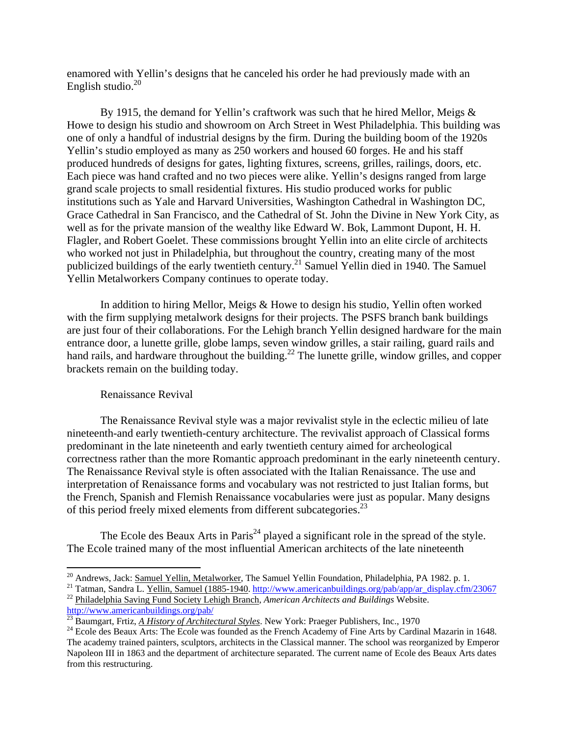enamored with Yellin's designs that he canceled his order he had previously made with an English studio. $^{20}$ 

By 1915, the demand for Yellin's craftwork was such that he hired Mellor, Meigs & Howe to design his studio and showroom on Arch Street in West Philadelphia. This building was one of only a handful of industrial designs by the firm. During the building boom of the 1920s Yellin's studio employed as many as 250 workers and housed 60 forges. He and his staff produced hundreds of designs for gates, lighting fixtures, screens, grilles, railings, doors, etc. Each piece was hand crafted and no two pieces were alike. Yellin's designs ranged from large grand scale projects to small residential fixtures. His studio produced works for public institutions such as Yale and Harvard Universities, Washington Cathedral in Washington DC, Grace Cathedral in San Francisco, and the Cathedral of St. John the Divine in New York City, as well as for the private mansion of the wealthy like Edward W. Bok, Lammont Dupont, H. H. Flagler, and Robert Goelet. These commissions brought Yellin into an elite circle of architects who worked not just in Philadelphia, but throughout the country, creating many of the most publicized buildings of the early twentieth century.<sup>21</sup> Samuel Yellin died in 1940. The Samuel Yellin Metalworkers Company continues to operate today.

In addition to hiring Mellor, Meigs & Howe to design his studio, Yellin often worked with the firm supplying metalwork designs for their projects. The PSFS branch bank buildings are just four of their collaborations. For the Lehigh branch Yellin designed hardware for the main entrance door, a lunette grille, globe lamps, seven window grilles, a stair railing, guard rails and hand rails, and hardware throughout the building.<sup>22</sup> The lunette grille, window grilles, and copper brackets remain on the building today.

#### Renaissance Revival

 $\overline{a}$ 

The Renaissance Revival style was a major revivalist style in the eclectic milieu of late nineteenth-and early twentieth-century architecture. The revivalist approach of Classical forms predominant in the late nineteenth and early twentieth century aimed for archeological correctness rather than the more Romantic approach predominant in the early nineteenth century. The Renaissance Revival style is often associated with the Italian Renaissance. The use and interpretation of Renaissance forms and vocabulary was not restricted to just Italian forms, but the French, Spanish and Flemish Renaissance vocabularies were just as popular. Many designs of this period freely mixed elements from different subcategories.<sup>23</sup>

The Ecole des Beaux Arts in Paris<sup>24</sup> played a significant role in the spread of the style. The Ecole trained many of the most influential American architects of the late nineteenth

<sup>&</sup>lt;sup>20</sup> Andrews, Jack: <u>Samuel Yellin, Metalworker</u>, The Samuel Yellin Foundation, Philadelphia, PA 1982. p. 1.<br><sup>21</sup> Tatman, Sandra L. <u>Yellin, Samuel (1885-1940</u>. http://www.americanbuildings.org/pab/app/ar\_display.cfm/2306

 $\frac{23}{24}$  Baumgart, Frtiz, *A History of Architectural Styles*. New York: Praeger Publishers, Inc., 1970<br><sup>24</sup> Ecole des Beaux Arts: The Ecole was founded as the French Academy of Fine Arts by Cardinal Mazarin in 1648.

The academy trained painters, sculptors, architects in the Classical manner. The school was reorganized by Emperor Napoleon III in 1863 and the department of architecture separated. The current name of Ecole des Beaux Arts dates from this restructuring.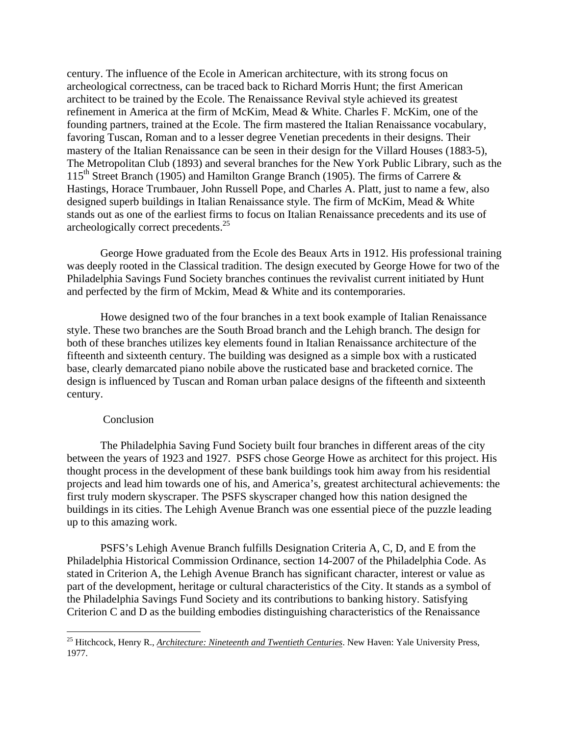century. The influence of the Ecole in American architecture, with its strong focus on archeological correctness, can be traced back to Richard Morris Hunt; the first American architect to be trained by the Ecole. The Renaissance Revival style achieved its greatest refinement in America at the firm of McKim, Mead & White. Charles F. McKim, one of the founding partners, trained at the Ecole. The firm mastered the Italian Renaissance vocabulary, favoring Tuscan, Roman and to a lesser degree Venetian precedents in their designs. Their mastery of the Italian Renaissance can be seen in their design for the Villard Houses (1883-5), The Metropolitan Club (1893) and several branches for the New York Public Library, such as the 115<sup>th</sup> Street Branch (1905) and Hamilton Grange Branch (1905). The firms of Carrere  $\&$ Hastings, Horace Trumbauer, John Russell Pope, and Charles A. Platt, just to name a few, also designed superb buildings in Italian Renaissance style. The firm of McKim, Mead & White stands out as one of the earliest firms to focus on Italian Renaissance precedents and its use of archeologically correct precedents.25

George Howe graduated from the Ecole des Beaux Arts in 1912. His professional training was deeply rooted in the Classical tradition. The design executed by George Howe for two of the Philadelphia Savings Fund Society branches continues the revivalist current initiated by Hunt and perfected by the firm of Mckim, Mead & White and its contemporaries.

Howe designed two of the four branches in a text book example of Italian Renaissance style. These two branches are the South Broad branch and the Lehigh branch. The design for both of these branches utilizes key elements found in Italian Renaissance architecture of the fifteenth and sixteenth century. The building was designed as a simple box with a rusticated base, clearly demarcated piano nobile above the rusticated base and bracketed cornice. The design is influenced by Tuscan and Roman urban palace designs of the fifteenth and sixteenth century.

#### **Conclusion**

1

The Philadelphia Saving Fund Society built four branches in different areas of the city between the years of 1923 and 1927. PSFS chose George Howe as architect for this project. His thought process in the development of these bank buildings took him away from his residential projects and lead him towards one of his, and America's, greatest architectural achievements: the first truly modern skyscraper. The PSFS skyscraper changed how this nation designed the buildings in its cities. The Lehigh Avenue Branch was one essential piece of the puzzle leading up to this amazing work.

PSFS's Lehigh Avenue Branch fulfills Designation Criteria A, C, D, and E from the Philadelphia Historical Commission Ordinance, section 14-2007 of the Philadelphia Code. As stated in Criterion A, the Lehigh Avenue Branch has significant character, interest or value as part of the development, heritage or cultural characteristics of the City. It stands as a symbol of the Philadelphia Savings Fund Society and its contributions to banking history. Satisfying Criterion C and D as the building embodies distinguishing characteristics of the Renaissance

<sup>&</sup>lt;sup>25</sup> Hitchcock, Henry R., *Architecture: Nineteenth and Twentieth Centuries*. New Haven: Yale University Press, 1977.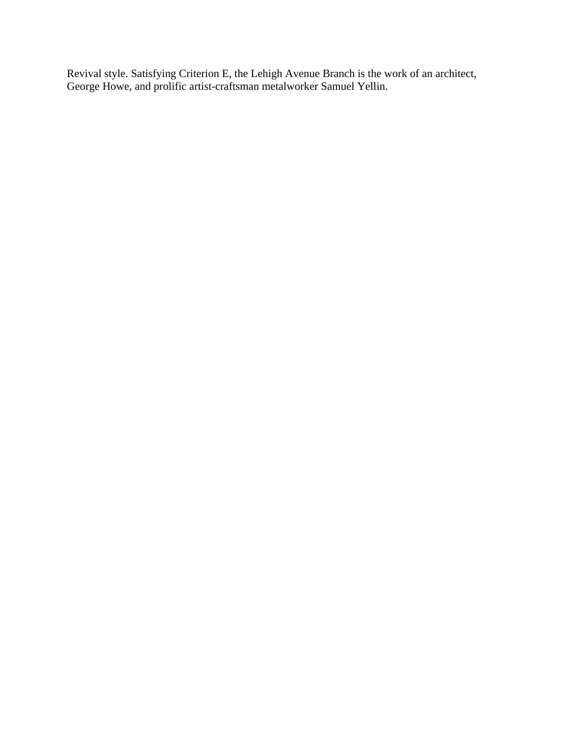Revival style. Satisfying Criterion E, the Lehigh Avenue Branch is the work of an architect, George Howe, and prolific artist-craftsman metalworker Samuel Yellin.